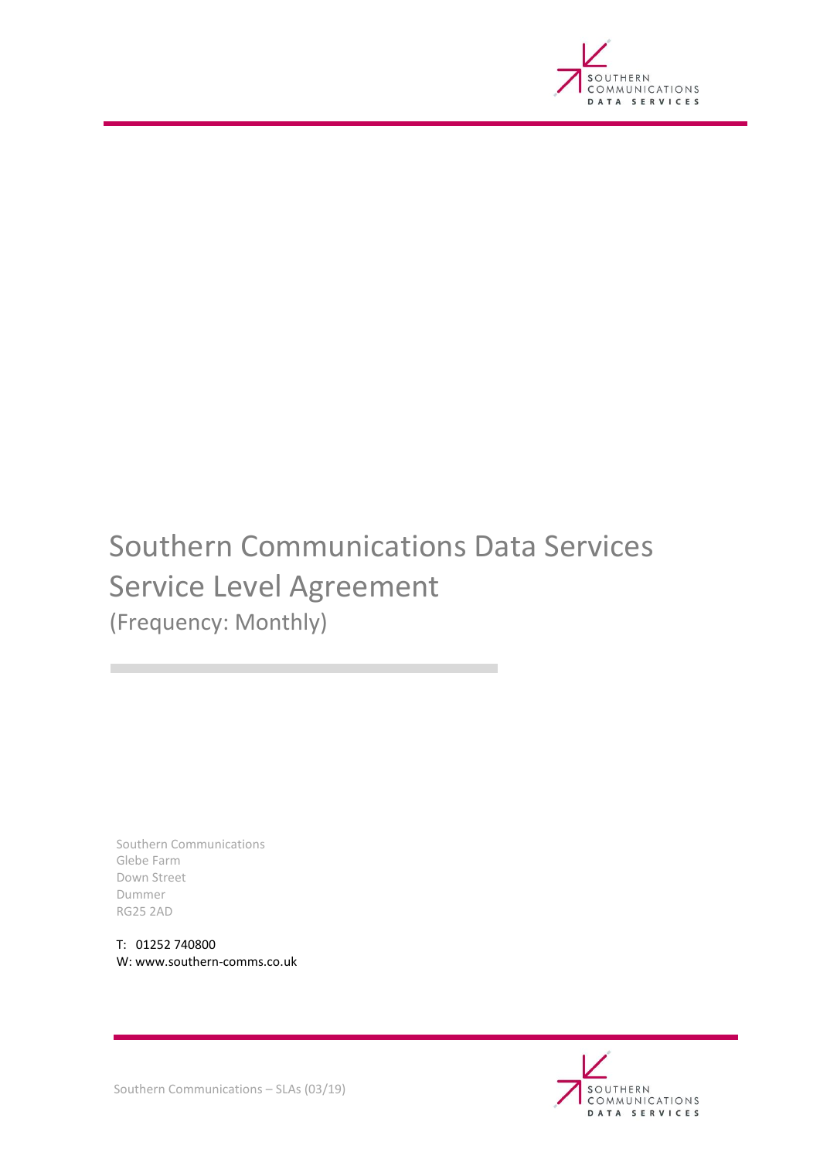

# Southern Communications Data Services Service Level Agreement (Frequency: Monthly)

Southern Communications Glebe Farm Down Street Dummer RG25 2AD

T: 01252 740800 W: www.southern-comms.co.uk



Southern Communications – SLAs (03/19)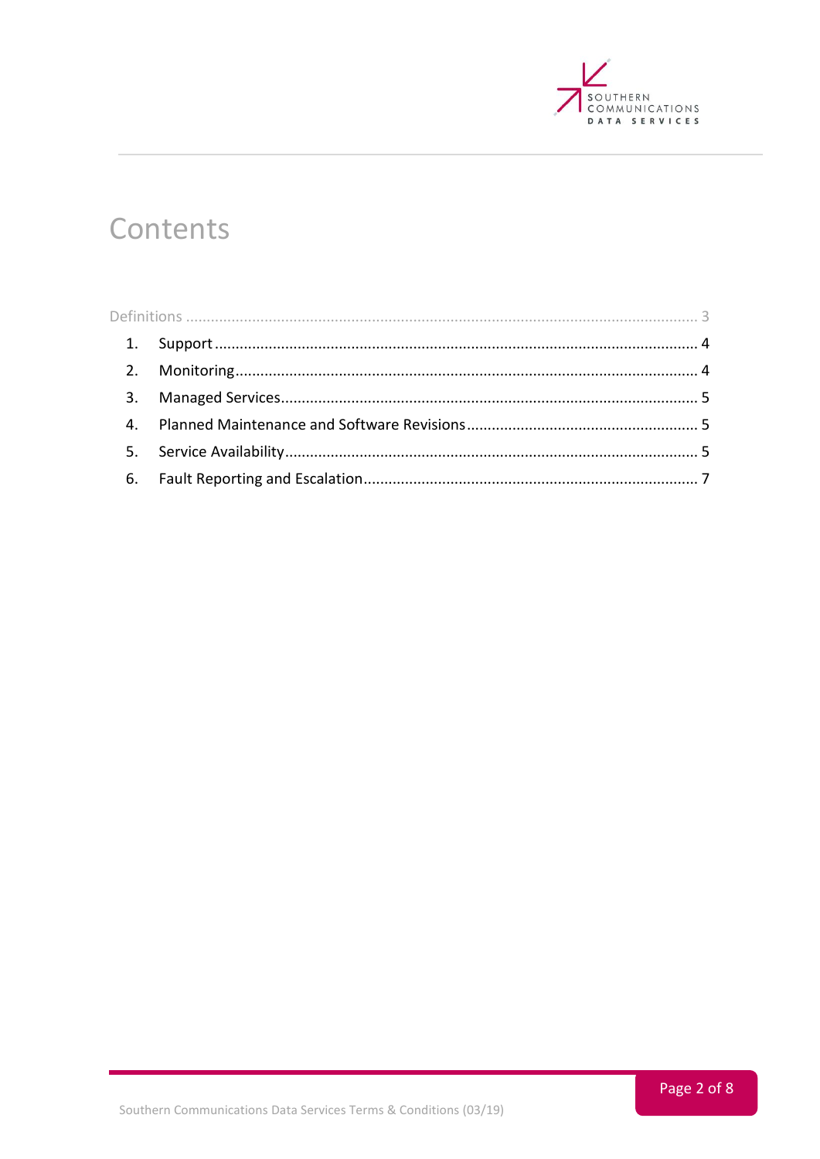

# Contents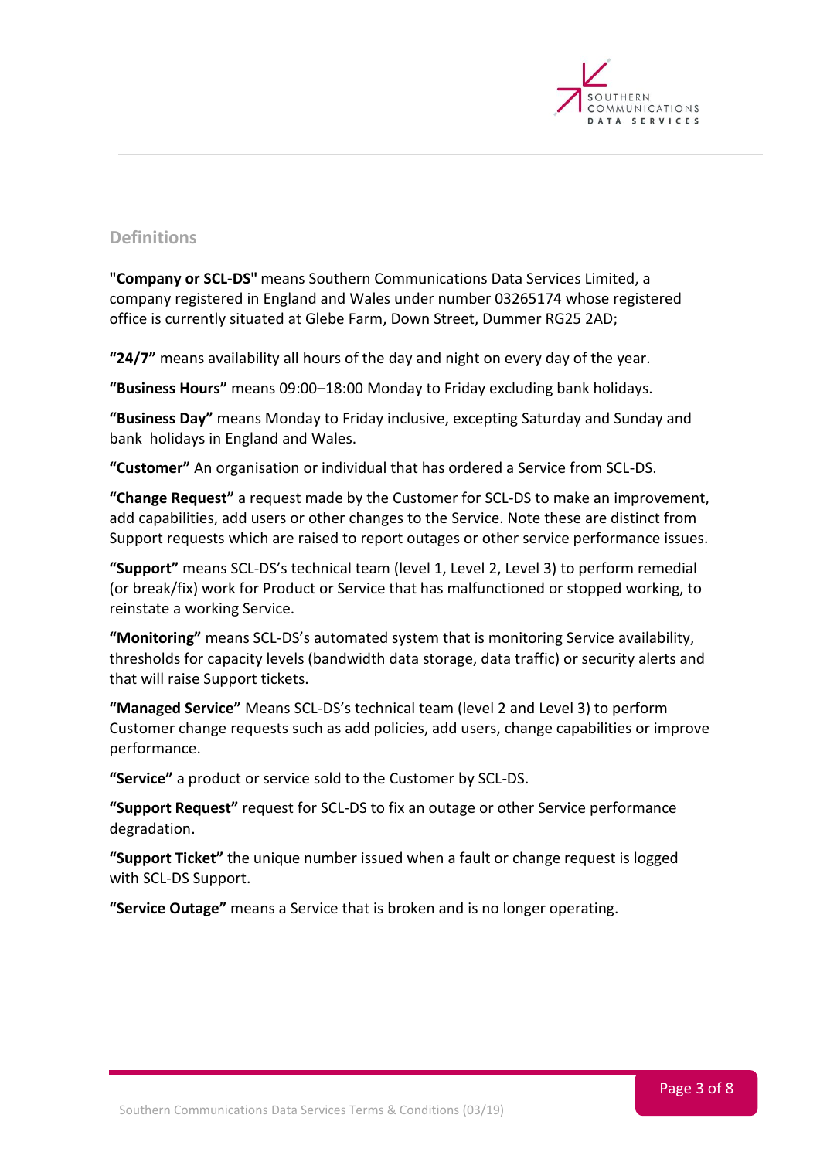

# <span id="page-2-0"></span>**Definitions**

**"Company or SCL-DS"** means Southern Communications Data Services Limited, a company registered in England and Wales under number 03265174 whose registered office is currently situated at Glebe Farm, Down Street, Dummer RG25 2AD;

**"24/7"** means availability all hours of the day and night on every day of the year.

**"Business Hours"** means 09:00–18:00 Monday to Friday excluding bank holidays.

**"Business Day"** means Monday to Friday inclusive, excepting Saturday and Sunday and bank holidays in England and Wales.

**"Customer"** An organisation or individual that has ordered a Service from SCL-DS.

**"Change Request"** a request made by the Customer for SCL-DS to make an improvement, add capabilities, add users or other changes to the Service. Note these are distinct from Support requests which are raised to report outages or other service performance issues.

**"Support"** means SCL-DS's technical team (level 1, Level 2, Level 3) to perform remedial (or break/fix) work for Product or Service that has malfunctioned or stopped working, to reinstate a working Service.

**"Monitoring"** means SCL-DS's automated system that is monitoring Service availability, thresholds for capacity levels (bandwidth data storage, data traffic) or security alerts and that will raise Support tickets.

**"Managed Service"** Means SCL-DS's technical team (level 2 and Level 3) to perform Customer change requests such as add policies, add users, change capabilities or improve performance.

**"Service"** a product or service sold to the Customer by SCL-DS.

**"Support Request"** request for SCL-DS to fix an outage or other Service performance degradation.

**"Support Ticket"** the unique number issued when a fault or change request is logged with SCL-DS Support.

**"Service Outage"** means a Service that is broken and is no longer operating.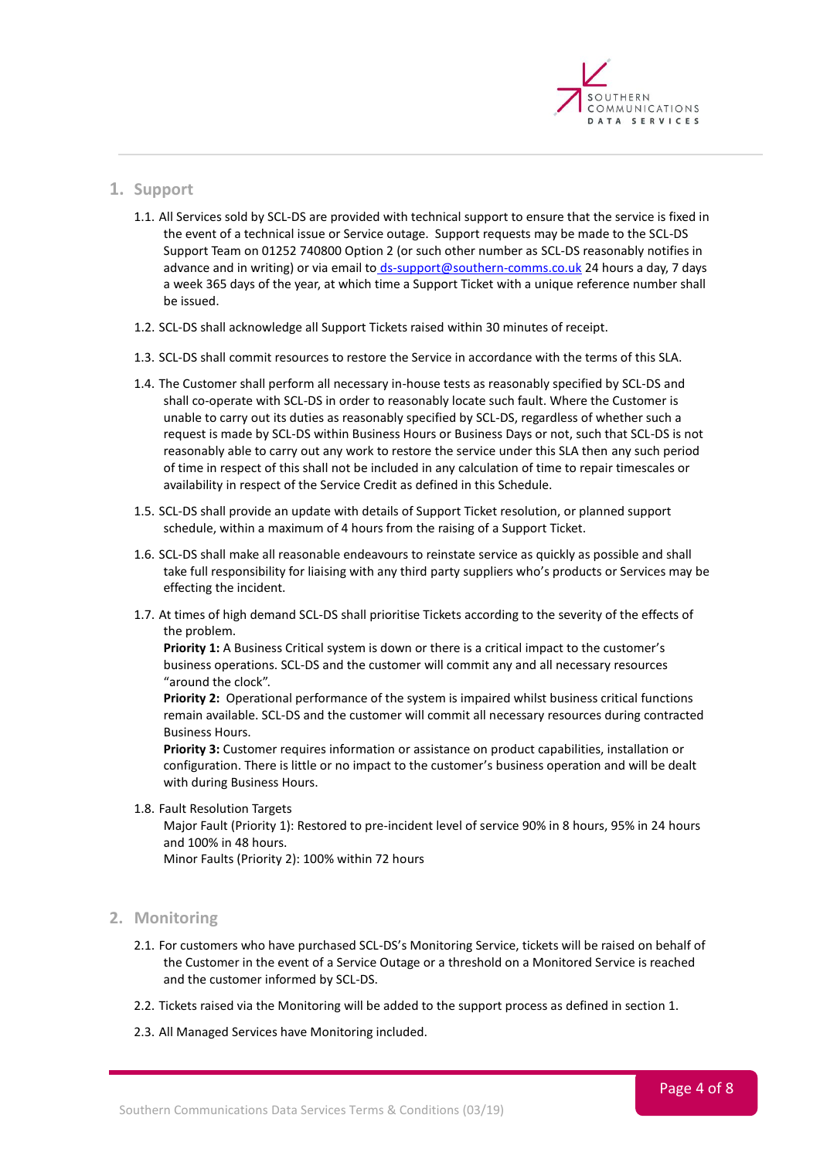

# <span id="page-3-0"></span>**1. Support**

- 1.1. All Services sold by SCL-DS are provided with technical support to ensure that the service is fixed in the event of a technical issue or Service outage. Support requests may be made to the SCL-DS Support Team on 01252 740800 Option 2 (or such other number as SCL-DS reasonably notifies in advance and in writing) or via email to [ds-support@southern-comms.co.uk](mailto:%20ds-support@southern-comms.co.uk) 24 hours a day, 7 days a week 365 days of the year, at which time a Support Ticket with a unique reference number shall be issued.
- 1.2. SCL-DS shall acknowledge all Support Tickets raised within 30 minutes of receipt.
- 1.3. SCL-DS shall commit resources to restore the Service in accordance with the terms of this SLA.
- 1.4. The Customer shall perform all necessary in-house tests as reasonably specified by SCL-DS and shall co-operate with SCL-DS in order to reasonably locate such fault. Where the Customer is unable to carry out its duties as reasonably specified by SCL-DS, regardless of whether such a request is made by SCL-DS within Business Hours or Business Days or not, such that SCL-DS is not reasonably able to carry out any work to restore the service under this SLA then any such period of time in respect of this shall not be included in any calculation of time to repair timescales or availability in respect of the Service Credit as defined in this Schedule.
- 1.5. SCL-DS shall provide an update with details of Support Ticket resolution, or planned support schedule, within a maximum of 4 hours from the raising of a Support Ticket.
- 1.6. SCL-DS shall make all reasonable endeavours to reinstate service as quickly as possible and shall take full responsibility for liaising with any third party suppliers who's products or Services may be effecting the incident.
- 1.7. At times of high demand SCL-DS shall prioritise Tickets according to the severity of the effects of the problem.

**Priority 1:** A Business Critical system is down or there is a critical impact to the customer's business operations. SCL-DS and the customer will commit any and all necessary resources "around the clock".

**Priority 2:** Operational performance of the system is impaired whilst business critical functions remain available. SCL-DS and the customer will commit all necessary resources during contracted Business Hours.

**Priority 3:** Customer requires information or assistance on product capabilities, installation or configuration. There is little or no impact to the customer's business operation and will be dealt with during Business Hours.

1.8. Fault Resolution Targets

Major Fault (Priority 1): Restored to pre-incident level of service 90% in 8 hours, 95% in 24 hours and 100% in 48 hours.

Minor Faults (Priority 2): 100% within 72 hours

# <span id="page-3-1"></span>**2. Monitoring**

- 2.1. For customers who have purchased SCL-DS's Monitoring Service, tickets will be raised on behalf of the Customer in the event of a Service Outage or a threshold on a Monitored Service is reached and the customer informed by SCL-DS.
- 2.2. Tickets raised via the Monitoring will be added to the support process as defined in section 1.
- 2.3. All Managed Services have Monitoring included.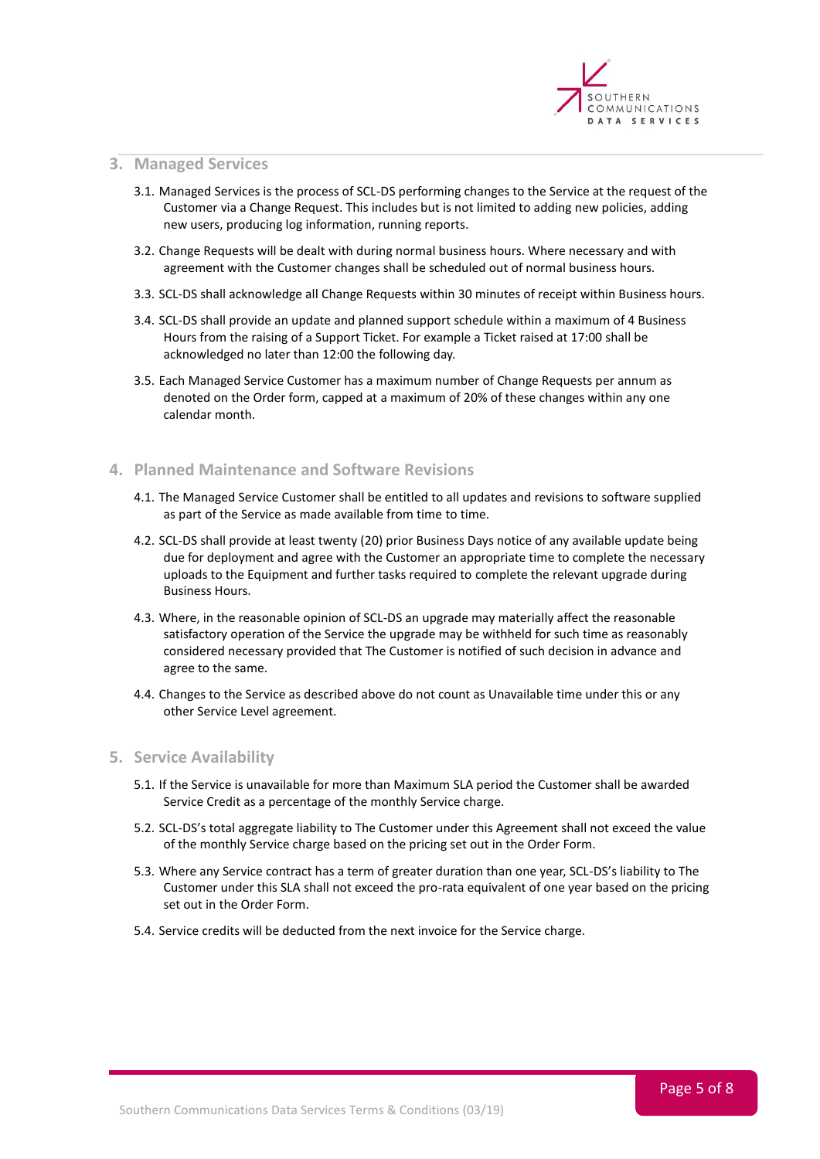

### <span id="page-4-0"></span>**3. Managed Services**

- 3.1. Managed Services is the process of SCL-DS performing changes to the Service at the request of the Customer via a Change Request. This includes but is not limited to adding new policies, adding new users, producing log information, running reports.
- 3.2. Change Requests will be dealt with during normal business hours. Where necessary and with agreement with the Customer changes shall be scheduled out of normal business hours.
- 3.3. SCL-DS shall acknowledge all Change Requests within 30 minutes of receipt within Business hours.
- 3.4. SCL-DS shall provide an update and planned support schedule within a maximum of 4 Business Hours from the raising of a Support Ticket. For example a Ticket raised at 17:00 shall be acknowledged no later than 12:00 the following day.
- 3.5. Each Managed Service Customer has a maximum number of Change Requests per annum as denoted on the Order form, capped at a maximum of 20% of these changes within any one calendar month.

# <span id="page-4-1"></span>**4. Planned Maintenance and Software Revisions**

- 4.1. The Managed Service Customer shall be entitled to all updates and revisions to software supplied as part of the Service as made available from time to time.
- 4.2. SCL-DS shall provide at least twenty (20) prior Business Days notice of any available update being due for deployment and agree with the Customer an appropriate time to complete the necessary uploads to the Equipment and further tasks required to complete the relevant upgrade during Business Hours.
- 4.3. Where, in the reasonable opinion of SCL-DS an upgrade may materially affect the reasonable satisfactory operation of the Service the upgrade may be withheld for such time as reasonably considered necessary provided that The Customer is notified of such decision in advance and agree to the same.
- 4.4. Changes to the Service as described above do not count as Unavailable time under this or any other Service Level agreement.

#### <span id="page-4-2"></span>**5. Service Availability**

- 5.1. If the Service is unavailable for more than Maximum SLA period the Customer shall be awarded Service Credit as a percentage of the monthly Service charge.
- 5.2. SCL-DS's total aggregate liability to The Customer under this Agreement shall not exceed the value of the monthly Service charge based on the pricing set out in the Order Form.
- 5.3. Where any Service contract has a term of greater duration than one year, SCL-DS's liability to The Customer under this SLA shall not exceed the pro-rata equivalent of one year based on the pricing set out in the Order Form.
- 5.4. Service credits will be deducted from the next invoice for the Service charge.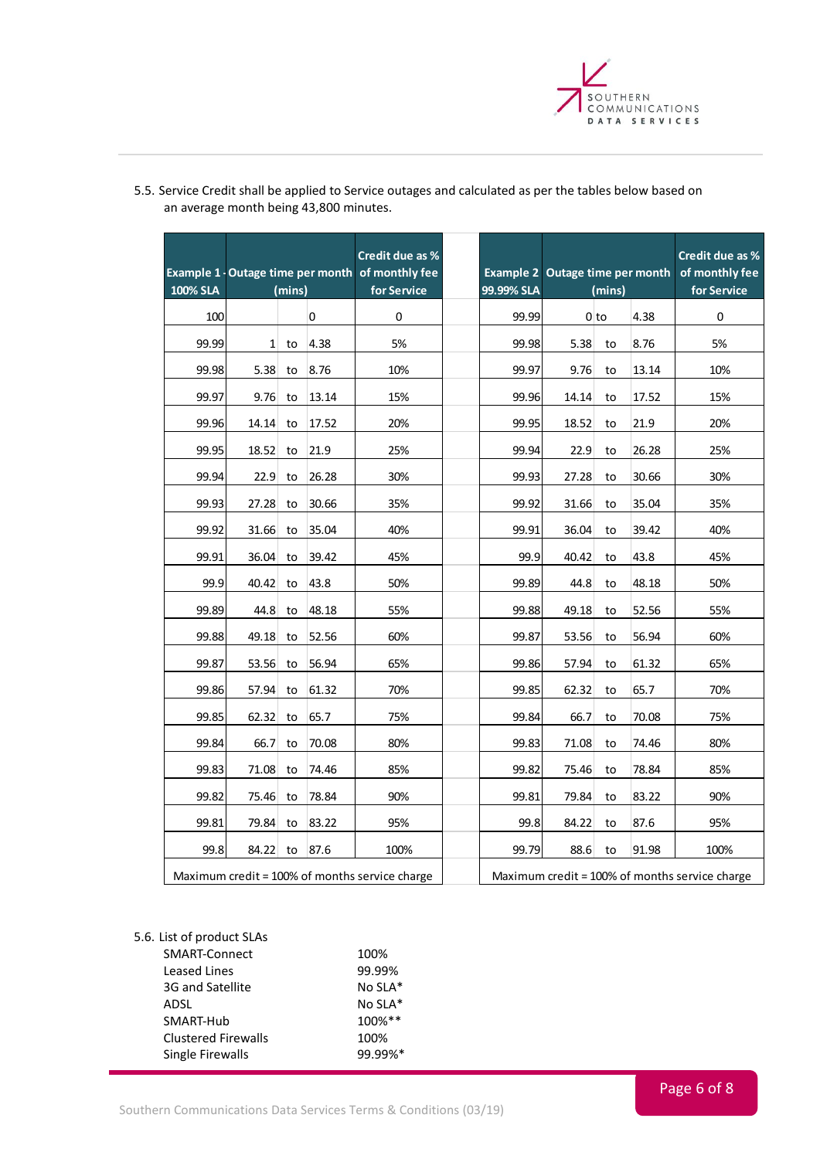

| 100% SLA | Example 1 - Outage time per month of monthly fee<br>(mins) |    |             | Credit due as %<br>for Service |  | 99.99% SLA | Example 2 Outage time per month<br>(mins) |                 |       | Credit due as %<br>of monthly fee<br>for Service |
|----------|------------------------------------------------------------|----|-------------|--------------------------------|--|------------|-------------------------------------------|-----------------|-------|--------------------------------------------------|
| 100      |                                                            |    | $\mathbf 0$ | $\pmb{0}$                      |  | 99.99      |                                           | 0 <sub>to</sub> | 4.38  | $\mathbf 0$                                      |
| 99.99    | $\mathbf{1}$                                               | to | 4.38        | 5%                             |  | 99.98      | 5.38                                      | to              | 8.76  | 5%                                               |
| 99.98    | 5.38                                                       | to | 8.76        | 10%                            |  | 99.97      | 9.76                                      | to              | 13.14 | 10%                                              |
| 99.97    | 9.76                                                       | to | 13.14       | 15%                            |  | 99.96      | 14.14                                     | to              | 17.52 | 15%                                              |
| 99.96    | 14.14                                                      | to | 17.52       | 20%                            |  | 99.95      | 18.52                                     | to              | 21.9  | 20%                                              |
| 99.95    | 18.52                                                      | to | 21.9        | 25%                            |  | 99.94      | 22.9                                      | to              | 26.28 | 25%                                              |
| 99.94    | 22.9                                                       | to | 26.28       | 30%                            |  | 99.93      | 27.28                                     | to              | 30.66 | 30%                                              |
| 99.93    | 27.28                                                      | to | 30.66       | 35%                            |  | 99.92      | 31.66                                     | to              | 35.04 | 35%                                              |
| 99.92    | 31.66                                                      | to | 35.04       | 40%                            |  | 99.91      | 36.04                                     | to              | 39.42 | 40%                                              |
| 99.91    | 36.04                                                      | to | 39.42       | 45%                            |  | 99.9       | 40.42                                     | to              | 43.8  | 45%                                              |
| 99.9     | 40.42                                                      | to | 43.8        | 50%                            |  | 99.89      | 44.8                                      | to              | 48.18 | 50%                                              |
| 99.89    | 44.8                                                       | to | 48.18       | 55%                            |  | 99.88      | 49.18                                     | to              | 52.56 | 55%                                              |
| 99.88    | 49.18                                                      | to | 52.56       | 60%                            |  | 99.87      | 53.56                                     | to              | 56.94 | 60%                                              |
| 99.87    | 53.56                                                      | to | 56.94       | 65%                            |  | 99.86      | 57.94                                     | to              | 61.32 | 65%                                              |
| 99.86    | 57.94                                                      | to | 61.32       | 70%                            |  | 99.85      | 62.32                                     | to              | 65.7  | 70%                                              |
| 99.85    | 62.32                                                      | to | 65.7        | 75%                            |  | 99.84      | 66.7                                      | to              | 70.08 | 75%                                              |
| 99.84    | 66.7                                                       | to | 70.08       | 80%                            |  | 99.83      | 71.08                                     | to              | 74.46 | 80%                                              |
| 99.83    | 71.08                                                      | to | 74.46       | 85%                            |  | 99.82      | 75.46                                     | to              | 78.84 | 85%                                              |
| 99.82    | 75.46                                                      | to | 78.84       | 90%                            |  | 99.81      | 79.84                                     | to              | 83.22 | 90%                                              |
| 99.81    | 79.84                                                      | to | 83.22       | 95%                            |  | 99.8       | 84.22                                     | to              | 87.6  | 95%                                              |
| 99.8     | 84.22                                                      | to | 87.6        | 100%                           |  | 99.79      | 88.6                                      | to              | 91.98 | 100%                                             |
|          | Maximum credit = 100% of months service charge             |    |             |                                |  |            |                                           |                 |       | Maximum credit = 100% of months service charge   |

5.5. Service Credit shall be applied to Service outages and calculated as per the tables below based on an average month being 43,800 minutes.

5.6. List of product SLAs

| SMART-Connect              | 100%    |
|----------------------------|---------|
| Leased Lines               | 99.99%  |
| 3G and Satellite           | No SLA* |
| ADSL                       | No SLA* |
| SMART-Hub                  | 100%**  |
| <b>Clustered Firewalls</b> | 100%    |
| Single Firewalls           | 99.99%* |
|                            |         |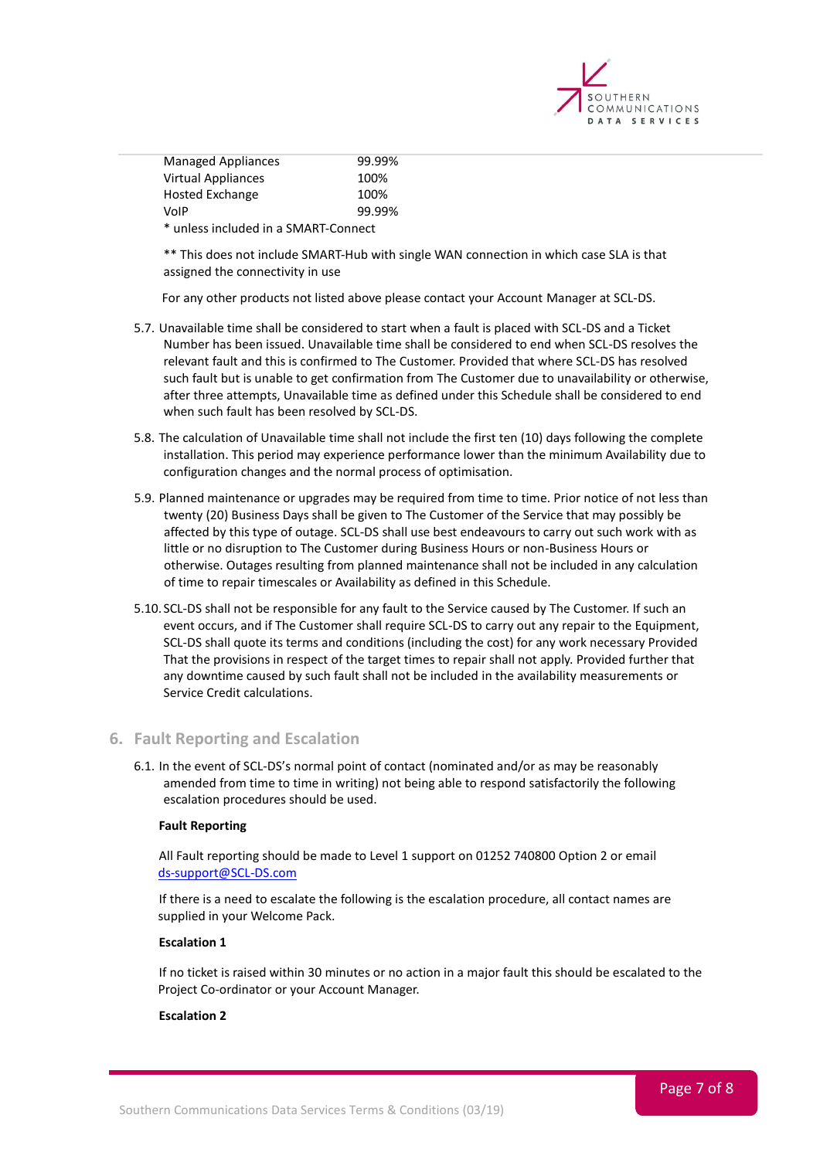

| <b>Managed Appliances</b>            | 99.99% |  |  |
|--------------------------------------|--------|--|--|
| <b>Virtual Appliances</b>            | 100%   |  |  |
| Hosted Exchange                      | 100%   |  |  |
| VoIP                                 | 99.99% |  |  |
| * unless included in a SMART-Connect |        |  |  |

\*\* This does not include SMART-Hub with single WAN connection in which case SLA is that assigned the connectivity in use

For any other products not listed above please contact your Account Manager at SCL-DS.

- 5.7. Unavailable time shall be considered to start when a fault is placed with SCL-DS and a Ticket Number has been issued. Unavailable time shall be considered to end when SCL-DS resolves the relevant fault and this is confirmed to The Customer. Provided that where SCL-DS has resolved such fault but is unable to get confirmation from The Customer due to unavailability or otherwise, after three attempts, Unavailable time as defined under this Schedule shall be considered to end when such fault has been resolved by SCL-DS.
- 5.8. The calculation of Unavailable time shall not include the first ten (10) days following the complete installation. This period may experience performance lower than the minimum Availability due to configuration changes and the normal process of optimisation.
- 5.9. Planned maintenance or upgrades may be required from time to time. Prior notice of not less than twenty (20) Business Days shall be given to The Customer of the Service that may possibly be affected by this type of outage. SCL-DS shall use best endeavours to carry out such work with as little or no disruption to The Customer during Business Hours or non-Business Hours or otherwise. Outages resulting from planned maintenance shall not be included in any calculation of time to repair timescales or Availability as defined in this Schedule.
- 5.10. SCL-DS shall not be responsible for any fault to the Service caused by The Customer. If such an event occurs, and if The Customer shall require SCL-DS to carry out any repair to the Equipment, SCL-DS shall quote its terms and conditions (including the cost) for any work necessary Provided That the provisions in respect of the target times to repair shall not apply. Provided further that any downtime caused by such fault shall not be included in the availability measurements or Service Credit calculations.

# <span id="page-6-0"></span>**6. Fault Reporting and Escalation**

6.1. In the event of SCL-DS's normal point of contact (nominated and/or as may be reasonably amended from time to time in writing) not being able to respond satisfactorily the following escalation procedures should be used.

#### **Fault Reporting**

All Fault reporting should be made to Level 1 support on 01252 740800 Option 2 or email [ds-support@SCL-DS.com](mailto:ds-support@SCL-DS.com)

If there is a need to escalate the following is the escalation procedure, all contact names are supplied in your Welcome Pack.

#### **Escalation 1**

If no ticket is raised within 30 minutes or no action in a major fault this should be escalated to the Project Co-ordinator or your Account Manager.

#### **Escalation 2**